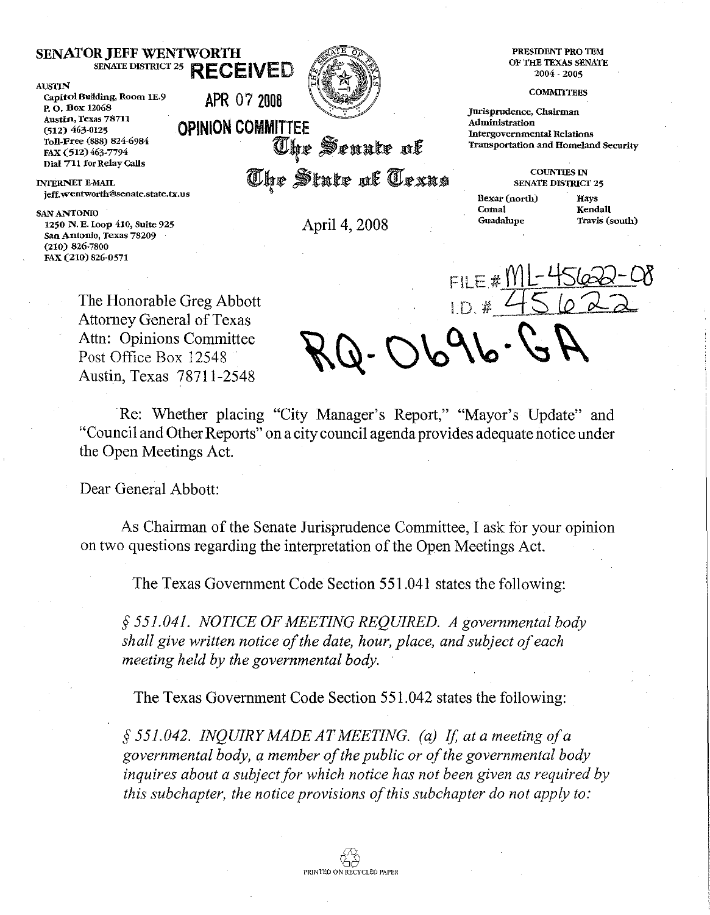## **SENATOR JEFF WENTWORTH**<br>SENATE DISTRICT 25 **RECEIVED**

AUSTIN

**Capitol Building, Room lE.9** P. O. Box 12068 **Austin,** *Texas 78711* (512) 463-0125 Toll-Free (888) 824-6984 FAX (512) 463-7794 **Dial 711 for Relay Calls**

INTERNET E-MAIL **jeff.wentworth@senate.state.tx.us**

SAN ANTONIO **1250 N. E. Loop 410, Suite 925 San Antonio, Texas 78209** (210) 826-7800 FAX (210) 826-0571



**OPINION COMMITTEE**

**APR 072008**

 $\overline{\mathbb{O}}$ he Senate of

The State at Texas

April 4, 2008

PRESIDENT PRO TEM OF THE TEXAS SENATE 2004 - 2005

**COMMITTEES** 

**Jurisprudence, Chairman Administration Intergovernmental Relations Transportation-and Homeland Security**

> COUNTIES IN SENATE DISTRICT 25

**Bexar (north) Hays Comal Kendall**<br> **Guadalupe Travis** (s

**Travis** (south)

The Honorable Greg Abbott Attorney General of Texas Attn: Opinions Committee Post Office Box 12548 Austin, Texas 78711-2548

 $FILE$   $E$ 

Re: Whether placing "City Manager's Report," "Mayor's Update" and "Council and Other Reports" on a city council agenda provides adequate notice under the Open Meetings Act.

Dear General Abbott:

As Chairman of the Senate Jurisprudence Committee, I ask for your opinion on two questions regarding the interpretation of the Open Meetings Act.

The Texas Government Code Section 551.041 states the following:

§ *551.041. NOTICE OF MEETING REQUIRED. A governmental body shall give written notice ofthe date, hour, place, and subject ofeach meeting held by the governmental body.*

The Texas Government Code Section 551.042 states the following:

§ *551.042. INQUIRY MADE ATMEETING. (aJ* If, *at a meeting ofa governmental body, a member ofthe public or ofthe governmental body inquires about a subjectfor which notice has not been given as required by this subchapter, the notice provisions ofthis subchapter do not apply to:*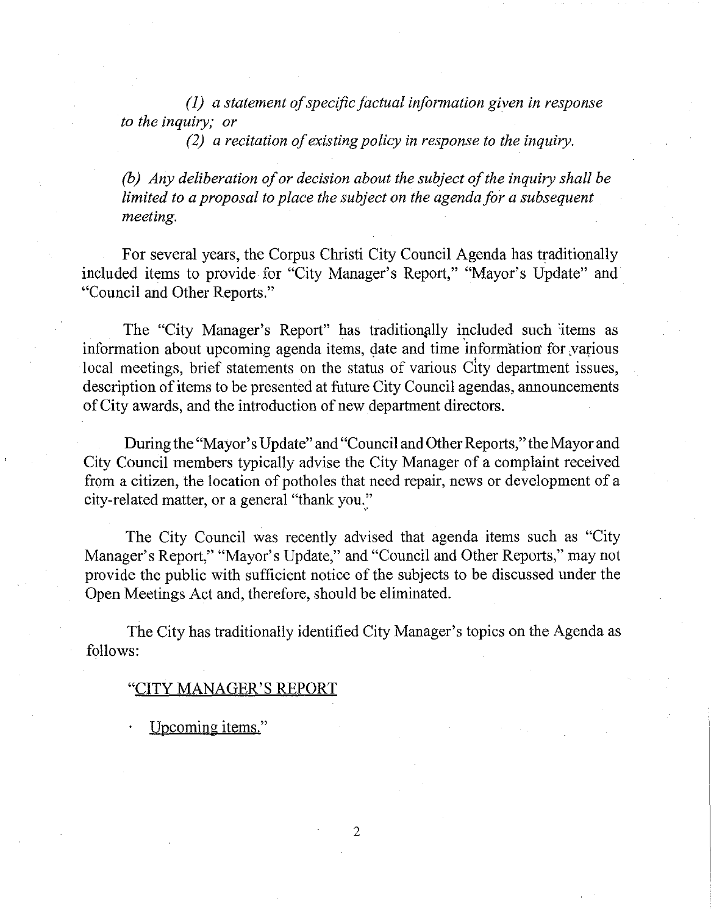*(1) a statement ofspecific factual information given in response to the inquiry; or*

*(2) a recitation ofexisting policy in response to the inquiry.*

*(b) Any deliberation of or decision about the subject of the inquiry shall be limited to a proposal to place the subject on the agenda for a subsequent meeting.*

For several years, the Corpus Christi City Council Agenda has traditionally included items to provide for "City Manager's Report," "Mayor's Update" and "Council and Other Reports."

The "City Manager's Report" has traditionally included such tiems as information about upcoming agenda items, date and time information for various local meetings, brief statements on the status of various City department issues, description of items to be presented at future City Council agendas, announcements of City awards, and the introduction of new department directors.

During the "Mayor's Update" and "Council and Other Reports," the Mayor and City Council members typically advise the City Manager of a complaint received from a citizen, the location of potholes that need repair, news or development of a city-related matter, or a general "thank you."

The City Council was recently advised that agenda items such as "City Manager's Report," "Mayor's Update," and "Council and Other Reports," may not provide the public with sufficient notice of the subjects to be discussed under the Open Meetings Act and, therefore, should be eliminated.

The City has traditionally identified City Manager's topics on the Agenda as follows:

## "CITY MANAGER'S REPORT

Upcoming items."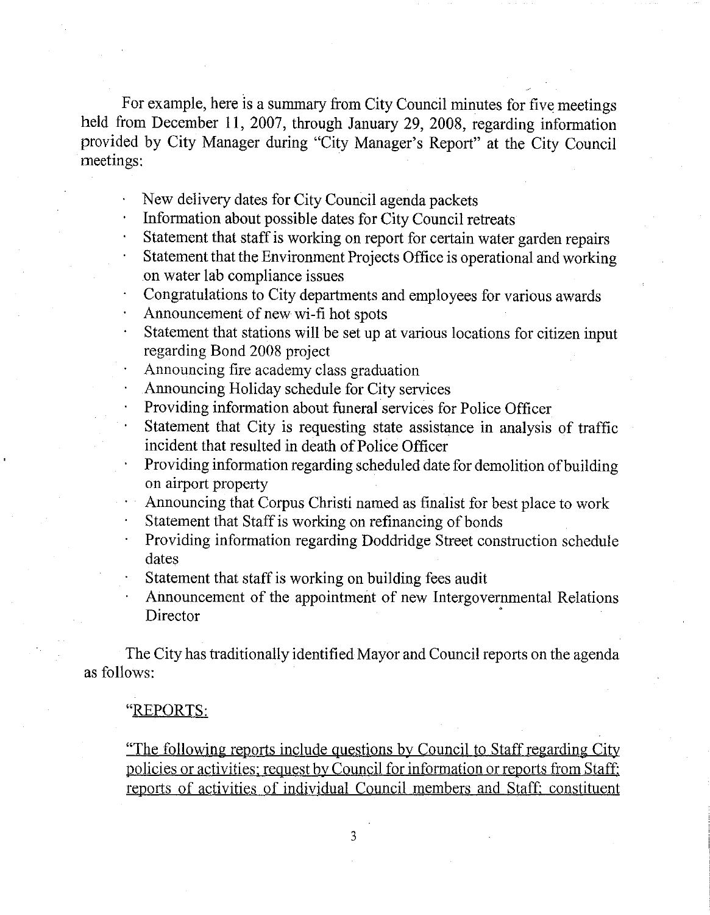For example, here is a summary from City Council minutes for five meetings held from December II, 2007, through January 29, 2008, regarding information provided by City Manager during "City Manager's Report" at the City Council meetings:

- New delivery dates for City Council agenda packets
- Information about possible dates for City Council retreats
- Statement that staff is working on report for certain water garden repairs

Statement that the Environment Projects Office is operational and working on water lab compliance issues

Congratulations to City departments and employees for various awards

- Announcement of new wi-fi hot spots
- Statement that stations will be set up at various locations for citizen input regarding Bond 2008 project
- Announcing fire academy class graduation
- Announcing Holiday schedule for City services
- Providing information about funeral services for Police Officer
- Statement that City is requesting state assistance in analysis of traffic incident that resulted in death of Police Officer
- Providing information regarding scheduled date for demolition of building on airport property

Announcing that Corpus Christi named as finalist for best place to work

- Statement that Staff is working on refinancing of bonds
- Providing information regarding Doddridge Street construction schedule dates
- Statement that staffis working on building fees audit
- Announcement of the appointment of new Intergovernmental Relations Director

The City has traditionally identified Mayor and Council reports on the agenda as follows:

#### "REPORTS:

"The following reports include questions by Council to Staffregarding City policies or activities: request by Council for information or reports from Staff: reports of activities of individual Council members and Staff: constituent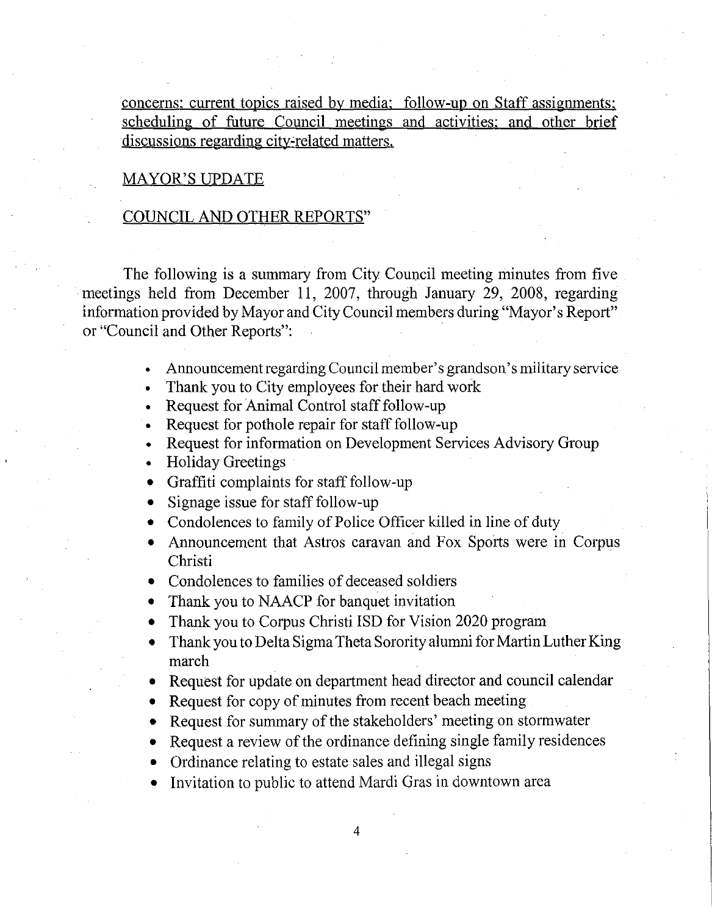concerns: current topics raised by media: follow-up on Staff assignments; scheduling of future Council meetings and activities: and other brief discussions regarding city-related matters.

## MAYOR'S uPDATE

# COUNCIL AND OTHER REPORTS"

The following is a summary from City Council meeting minutes from five meetings held from December **II,** 2007, through January 29, 2008, regarding information provided by Mayor and City Council members during "Mayor's Report" or "Council and Other Reports":

- Announcement regarding Council member's grandson's military service
- Thank you to City employees for their hard work
- Request for Animal Control staff follow-up
- Request for pothole repair for staff follow-up
- Request for information on Development Services Advisory Group
- Holiday Greetings
- Graffiti complaints for staff follow-up
- Signage issue for staff follow-up
- Condolences to family of Police Officer killed in line of duty
- Announcement that Astros caravan and Fox Sports were in Corpus Christi
- Condolences to families of deceased soldiers
- Thank you to NAACP for banquet invitation
- Thank you to Corpus Christi ISD for Vision 2020 program
- Thank you to Delta SigmaTheta Sorority alumni for Martin Luther King march
- Request for update on department head director and council calendar
- Request for copy of minutes from recent beach meeting
- Request for summary of the stakeholders' meeting on stormwater
- Request a review of the ordinance defining single family residences
- Ordinance relating to estate sales and illegal signs
- Invitation to public to attend Mardi Gras in downtown area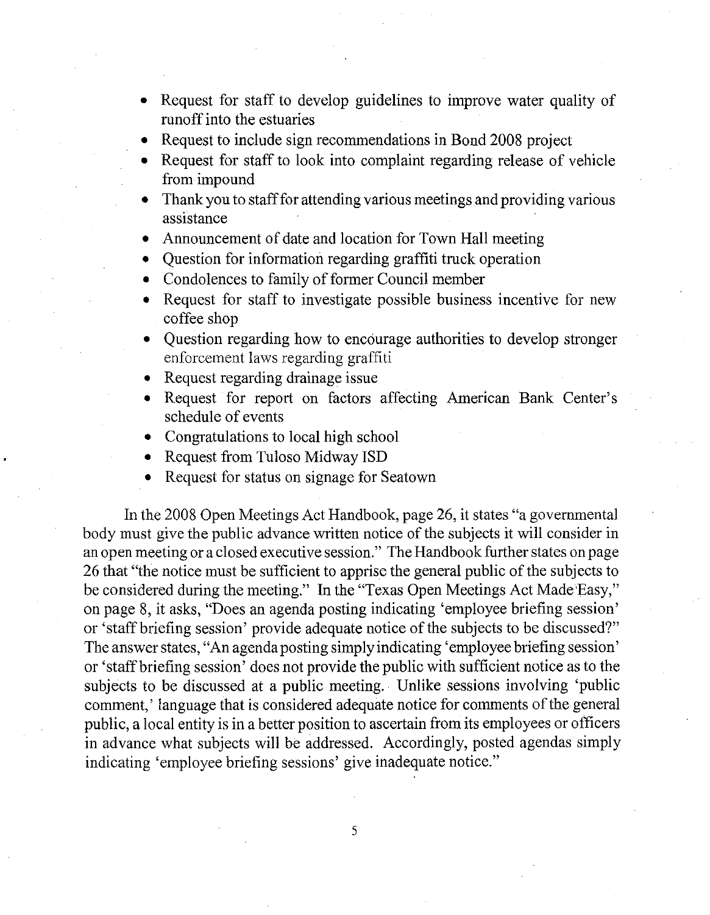- Request for staff to develop guidelines to improve water quality of runoffinto the estuaries
- Request to include sign recommendations in Bond 2008 project
- Request for staff to look into complaint regarding release of vehicle from impound
- Thank you to stafffor attending various meetings and providing various assistance
- Announcement of date and location for Town Hall meeting
- Question for information regarding graffiti truck operation
- Condolences to family of former Council member
- Request for staff to investigate possible business incentive for new coffee shop
- Question regarding how to encourage authorities to develop stronger enforcement laws regarding graffiti
- Request regarding drainage issue
- Request for report on factors affecting American Bank Center's schedule of events
- Congratulations to local high school
- Request from Tuloso Midway ISD
- Request for status on signage for Seatown

In the 2008 Open Meetings Act Handbook, page 26, it states "a governmental body must give the public advance written notice of the subjects it will consider in an open meeting or a closed executive session." The Handbook further states on page 26 that "the notice must be sufficient to apprise the general public of the subjects to be considered during the meeting." In the "Texas Open Meetings Act Made Easy," on page 8, it asks, "Does an agenda posting indicating 'employee briefing session' or 'staff briefing session' provide adequate notice of the subjects to be discussed?" The answer states, "An agenda posting simply indicating 'employee briefing session' or 'staffbriefing session' does not provide the public with sufficient notice as to the subjects to be discussed at a public meeting. Unlike sessions involving 'public comment,' language that is considered adequate notice for comments of the general public, a local entity is in a better position to ascertain from its employees or officers in advance what subjects will be addressed. Accordingly, posted agendas simply indicating 'employee briefing sessions' give inadequate notice."

5